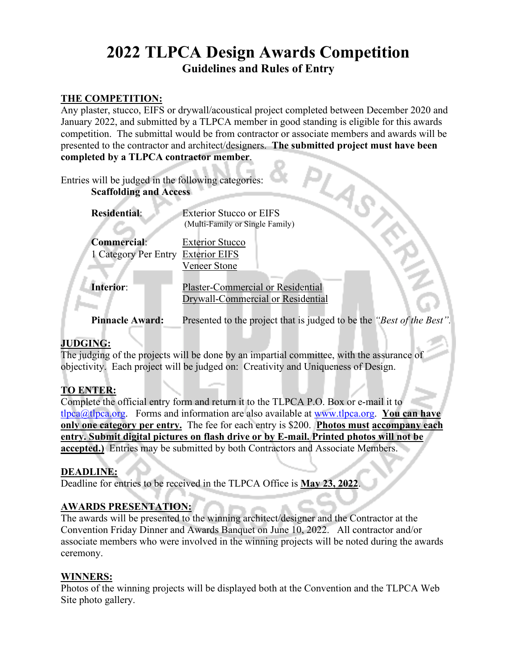# **2022 TLPCA Design Awards Competition Guidelines and Rules of Entry**

#### **THE COMPETITION:**

Any plaster, stucco, EIFS or drywall/acoustical project completed between December 2020 and January 2022, and submitted by a TLPCA member in good standing is eligible for this awards competition. The submittal would be from contractor or associate members and awards will be presented to the contractor and architect/designers. **The submitted project must have been completed by a TLPCA contractor member**.

| Entries will be judged in the following categories:<br><b>Scaffolding and Access</b> |                                                                       |
|--------------------------------------------------------------------------------------|-----------------------------------------------------------------------|
| <b>Residential:</b>                                                                  | <b>Exterior Stucco or EIFS</b>                                        |
|                                                                                      | (Multi-Family or Single Family)                                       |
| <b>Commercial:</b>                                                                   | <b>Exterior Stucco</b>                                                |
| 1 Category Per Entry                                                                 | <b>Exterior EIFS</b>                                                  |
|                                                                                      | Veneer Stone                                                          |
| Interior:                                                                            | Plaster-Commercial or Residential                                     |
|                                                                                      | Drywall-Commercial or Residential                                     |
| <b>Pinnacle Award:</b>                                                               | Presented to the project that is judged to be the "Best of the Best". |

# **JUDGING:**

The judging of the projects will be done by an impartial committee, with the assurance of objectivity. Each project will be judged on: Creativity and Uniqueness of Design.

# **TO ENTER:**

Complete the official entry form and return it to the TLPCA P.O. Box or e-mail it to tlpca@tlpca.org. Forms and information are also available at [www.tlpca.org.](http://www.tlpca.org/) **You can have only one category per entry.** The fee for each entry is \$200. **Photos must accompany each entry. Submit digital pictures on flash drive or by E-mail. Printed photos will not be accepted.)**Entries may be submitted by both Contractors and Associate Members.

#### **DEADLINE:**

Deadline for entries to be received in the TLPCA Office is **May 23, 2022**.

#### **AWARDS PRESENTATION:**

The awards will be presented to the winning architect/designer and the Contractor at the Convention Friday Dinner and Awards Banquet on June 10, 2022. All contractor and/or associate members who were involved in the winning projects will be noted during the awards ceremony.

#### **WINNERS:**

Photos of the winning projects will be displayed both at the Convention and the TLPCA Web Site photo gallery.